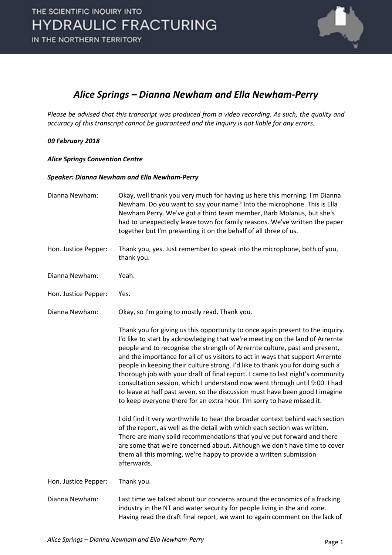

### *Alice Springs – Dianna Newham and Ella Newham-Perry*

*Please be advised that this transcript was produced from a video recording. As such, the quality and accuracy of this transcript cannot be guaranteed and the Inquiry is not liable for any errors.*

#### *09 February 2018*

*Alice Springs Convention Centre*

#### *Speaker: Dianna Newham and Ella Newham-Perry*

| Dianna Newham:       | Okay, well thank you very much for having us here this morning. I'm Dianna<br>Newham. Do you want to say your name? Into the microphone. This is Ella<br>Newham Perry. We've got a third team member, Barb Molanus, but she's<br>had to unexpectedly leave town for family reasons. We've written the paper<br>together but I'm presenting it on the behalf of all three of us.                                                                                                                                                                                                                                                                                                                                                               |
|----------------------|-----------------------------------------------------------------------------------------------------------------------------------------------------------------------------------------------------------------------------------------------------------------------------------------------------------------------------------------------------------------------------------------------------------------------------------------------------------------------------------------------------------------------------------------------------------------------------------------------------------------------------------------------------------------------------------------------------------------------------------------------|
| Hon. Justice Pepper: | Thank you, yes. Just remember to speak into the microphone, both of you,<br>thank you.                                                                                                                                                                                                                                                                                                                                                                                                                                                                                                                                                                                                                                                        |
| Dianna Newham:       | Yeah.                                                                                                                                                                                                                                                                                                                                                                                                                                                                                                                                                                                                                                                                                                                                         |
| Hon. Justice Pepper: | Yes.                                                                                                                                                                                                                                                                                                                                                                                                                                                                                                                                                                                                                                                                                                                                          |
| Dianna Newham:       | Okay, so I'm going to mostly read. Thank you.                                                                                                                                                                                                                                                                                                                                                                                                                                                                                                                                                                                                                                                                                                 |
|                      | Thank you for giving us this opportunity to once again present to the inquiry.<br>I'd like to start by acknowledging that we're meeting on the land of Arrernte<br>people and to recognise the strength of Arrernte culture, past and present,<br>and the importance for all of us visitors to act in ways that support Arrernte<br>people in keeping their culture strong. I'd like to thank you for doing such a<br>thorough job with your draft of final report. I came to last night's community<br>consultation session, which I understand now went through until 9:00. I had<br>to leave at half past seven, so the discussion must have been good I imagine<br>to keep everyone there for an extra hour. I'm sorry to have missed it. |
|                      | I did find it very worthwhile to hear the broader context behind each section<br>of the report, as well as the detail with which each section was written.<br>There are many solid recommendations that you've put forward and there<br>are some that we're concerned about. Although we don't have time to cover<br>them all this morning, we're happy to provide a written submission<br>afterwards.                                                                                                                                                                                                                                                                                                                                        |
| Hon. Justice Pepper: | Thank you.                                                                                                                                                                                                                                                                                                                                                                                                                                                                                                                                                                                                                                                                                                                                    |
| Dianna Newham:       | Last time we talked about our concerns around the economics of a fracking<br>industry in the NT and water security for people living in the arid zone.<br>Having read the draft final report, we want to again comment on the lack of                                                                                                                                                                                                                                                                                                                                                                                                                                                                                                         |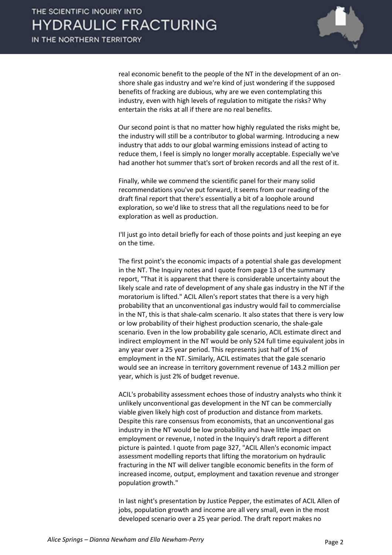

real economic benefit to the people of the NT in the development of an onshore shale gas industry and we're kind of just wondering if the supposed benefits of fracking are dubious, why are we even contemplating this industry, even with high levels of regulation to mitigate the risks? Why entertain the risks at all if there are no real benefits.

Our second point is that no matter how highly regulated the risks might be, the industry will still be a contributor to global warming. Introducing a new industry that adds to our global warming emissions instead of acting to reduce them, I feel is simply no longer morally acceptable. Especially we've had another hot summer that's sort of broken records and all the rest of it.

Finally, while we commend the scientific panel for their many solid recommendations you've put forward, it seems from our reading of the draft final report that there's essentially a bit of a loophole around exploration, so we'd like to stress that all the regulations need to be for exploration as well as production.

I'll just go into detail briefly for each of those points and just keeping an eye on the time.

The first point's the economic impacts of a potential shale gas development in the NT. The Inquiry notes and I quote from page 13 of the summary report, "That it is apparent that there is considerable uncertainty about the likely scale and rate of development of any shale gas industry in the NT if the moratorium is lifted." ACIL Allen's report states that there is a very high probability that an unconventional gas industry would fail to commercialise in the NT, this is that shale-calm scenario. It also states that there is very low or low probability of their highest production scenario, the shale-gale scenario. Even in the low probability gale scenario, ACIL estimate direct and indirect employment in the NT would be only 524 full time equivalent jobs in any year over a 25 year period. This represents just half of 1% of employment in the NT. Similarly, ACIL estimates that the gale scenario would see an increase in territory government revenue of 143.2 million per year, which is just 2% of budget revenue.

ACIL's probability assessment echoes those of industry analysts who think it unlikely unconventional gas development in the NT can be commercially viable given likely high cost of production and distance from markets. Despite this rare consensus from economists, that an unconventional gas industry in the NT would be low probability and have little impact on employment or revenue, I noted in the Inquiry's draft report a different picture is painted. I quote from page 327, "ACIL Allen's economic impact assessment modelling reports that lifting the moratorium on hydraulic fracturing in the NT will deliver tangible economic benefits in the form of increased income, output, employment and taxation revenue and stronger population growth."

In last night's presentation by Justice Pepper, the estimates of ACIL Allen of jobs, population growth and income are all very small, even in the most developed scenario over a 25 year period. The draft report makes no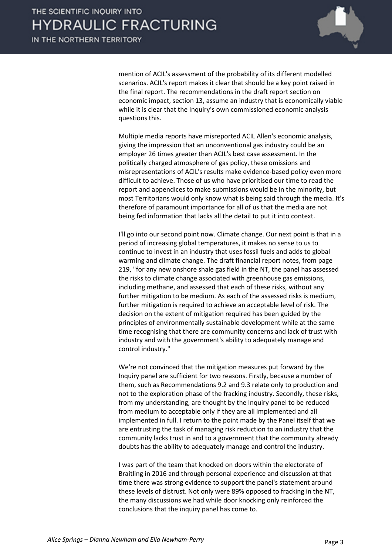

mention of ACIL's assessment of the probability of its different modelled scenarios. ACIL's report makes it clear that should be a key point raised in the final report. The recommendations in the draft report section on economic impact, section 13, assume an industry that is economically viable while it is clear that the Inquiry's own commissioned economic analysis questions this.

Multiple media reports have misreported ACIL Allen's economic analysis, giving the impression that an unconventional gas industry could be an employer 26 times greater than ACIL's best case assessment. In the politically charged atmosphere of gas policy, these omissions and misrepresentations of ACIL's results make evidence-based policy even more difficult to achieve. Those of us who have prioritised our time to read the report and appendices to make submissions would be in the minority, but most Territorians would only know what is being said through the media. It's therefore of paramount importance for all of us that the media are not being fed information that lacks all the detail to put it into context.

I'll go into our second point now. Climate change. Our next point is that in a period of increasing global temperatures, it makes no sense to us to continue to invest in an industry that uses fossil fuels and adds to global warming and climate change. The draft financial report notes, from page 219, "for any new onshore shale gas field in the NT, the panel has assessed the risks to climate change associated with greenhouse gas emissions, including methane, and assessed that each of these risks, without any further mitigation to be medium. As each of the assessed risks is medium, further mitigation is required to achieve an acceptable level of risk. The decision on the extent of mitigation required has been guided by the principles of environmentally sustainable development while at the same time recognising that there are community concerns and lack of trust with industry and with the government's ability to adequately manage and control industry."

We're not convinced that the mitigation measures put forward by the Inquiry panel are sufficient for two reasons. Firstly, because a number of them, such as Recommendations 9.2 and 9.3 relate only to production and not to the exploration phase of the fracking industry. Secondly, these risks, from my understanding, are thought by the Inquiry panel to be reduced from medium to acceptable only if they are all implemented and all implemented in full. I return to the point made by the Panel itself that we are entrusting the task of managing risk reduction to an industry that the community lacks trust in and to a government that the community already doubts has the ability to adequately manage and control the industry.

I was part of the team that knocked on doors within the electorate of Braitling in 2016 and through personal experience and discussion at that time there was strong evidence to support the panel's statement around these levels of distrust. Not only were 89% opposed to fracking in the NT, the many discussions we had while door knocking only reinforced the conclusions that the inquiry panel has come to.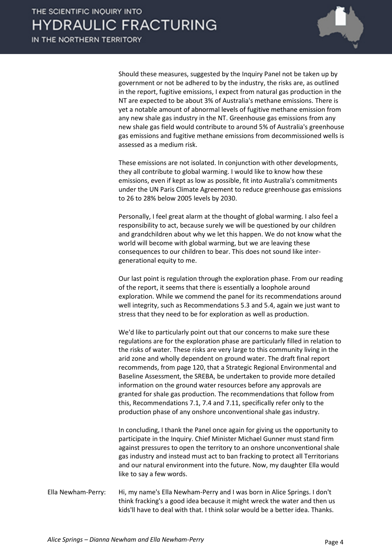

Should these measures, suggested by the Inquiry Panel not be taken up by government or not be adhered to by the industry, the risks are, as outlined in the report, fugitive emissions, I expect from natural gas production in the NT are expected to be about 3% of Australia's methane emissions. There is yet a notable amount of abnormal levels of fugitive methane emission from any new shale gas industry in the NT. Greenhouse gas emissions from any new shale gas field would contribute to around 5% of Australia's greenhouse gas emissions and fugitive methane emissions from decommissioned wells is assessed as a medium risk.

These emissions are not isolated. In conjunction with other developments, they all contribute to global warming. I would like to know how these emissions, even if kept as low as possible, fit into Australia's commitments under the UN Paris Climate Agreement to reduce greenhouse gas emissions to 26 to 28% below 2005 levels by 2030.

Personally, I feel great alarm at the thought of global warming. I also feel a responsibility to act, because surely we will be questioned by our children and grandchildren about why we let this happen. We do not know what the world will become with global warming, but we are leaving these consequences to our children to bear. This does not sound like intergenerational equity to me.

Our last point is regulation through the exploration phase. From our reading of the report, it seems that there is essentially a loophole around exploration. While we commend the panel for its recommendations around well integrity, such as Recommendations 5.3 and 5.4, again we just want to stress that they need to be for exploration as well as production.

We'd like to particularly point out that our concerns to make sure these regulations are for the exploration phase are particularly filled in relation to the risks of water. These risks are very large to this community living in the arid zone and wholly dependent on ground water. The draft final report recommends, from page 120, that a Strategic Regional Environmental and Baseline Assessment, the SREBA, be undertaken to provide more detailed information on the ground water resources before any approvals are granted for shale gas production. The recommendations that follow from this, Recommendations 7.1, 7.4 and 7.11, specifically refer only to the production phase of any onshore unconventional shale gas industry.

In concluding, I thank the Panel once again for giving us the opportunity to participate in the Inquiry. Chief Minister Michael Gunner must stand firm against pressures to open the territory to an onshore unconventional shale gas industry and instead must act to ban fracking to protect all Territorians and our natural environment into the future. Now, my daughter Ella would like to say a few words.

Ella Newham-Perry: Hi, my name's Ella Newham-Perry and I was born in Alice Springs. I don't think fracking's a good idea because it might wreck the water and then us kids'll have to deal with that. I think solar would be a better idea. Thanks.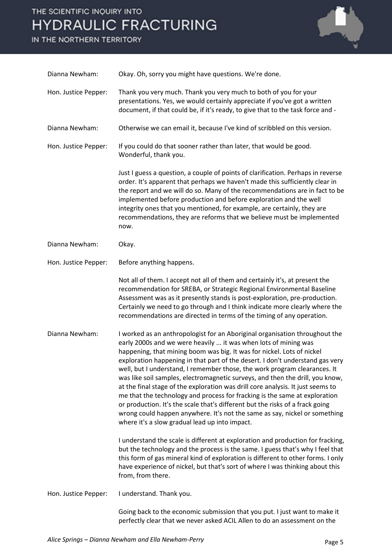## THE SCIENTIFIC INQUIRY INTO **HYDRAULIC FRACTURING**

IN THE NORTHERN TERRITORY



| Dianna Newham:       | Okay. Oh, sorry you might have questions. We're done.                                                                                                                                                                                                                                                                                                                                                                                                                                                                                                                                                                                                                                                                                                                                                                                                     |
|----------------------|-----------------------------------------------------------------------------------------------------------------------------------------------------------------------------------------------------------------------------------------------------------------------------------------------------------------------------------------------------------------------------------------------------------------------------------------------------------------------------------------------------------------------------------------------------------------------------------------------------------------------------------------------------------------------------------------------------------------------------------------------------------------------------------------------------------------------------------------------------------|
| Hon. Justice Pepper: | Thank you very much. Thank you very much to both of you for your<br>presentations. Yes, we would certainly appreciate if you've got a written<br>document, if that could be, if it's ready, to give that to the task force and -                                                                                                                                                                                                                                                                                                                                                                                                                                                                                                                                                                                                                          |
| Dianna Newham:       | Otherwise we can email it, because I've kind of scribbled on this version.                                                                                                                                                                                                                                                                                                                                                                                                                                                                                                                                                                                                                                                                                                                                                                                |
| Hon. Justice Pepper: | If you could do that sooner rather than later, that would be good.<br>Wonderful, thank you.                                                                                                                                                                                                                                                                                                                                                                                                                                                                                                                                                                                                                                                                                                                                                               |
|                      | Just I guess a question, a couple of points of clarification. Perhaps in reverse<br>order. It's apparent that perhaps we haven't made this sufficiently clear in<br>the report and we will do so. Many of the recommendations are in fact to be<br>implemented before production and before exploration and the well<br>integrity ones that you mentioned, for example, are certainly, they are<br>recommendations, they are reforms that we believe must be implemented<br>now.                                                                                                                                                                                                                                                                                                                                                                          |
| Dianna Newham:       | Okay.                                                                                                                                                                                                                                                                                                                                                                                                                                                                                                                                                                                                                                                                                                                                                                                                                                                     |
| Hon. Justice Pepper: | Before anything happens.                                                                                                                                                                                                                                                                                                                                                                                                                                                                                                                                                                                                                                                                                                                                                                                                                                  |
|                      | Not all of them. I accept not all of them and certainly it's, at present the<br>recommendation for SREBA, or Strategic Regional Environmental Baseline<br>Assessment was as it presently stands is post-exploration, pre-production.<br>Certainly we need to go through and I think indicate more clearly where the<br>recommendations are directed in terms of the timing of any operation.                                                                                                                                                                                                                                                                                                                                                                                                                                                              |
| Dianna Newham:       | I worked as an anthropologist for an Aboriginal organisation throughout the<br>early 2000s and we were heavily  it was when lots of mining was<br>happening, that mining boom was big. It was for nickel. Lots of nickel<br>exploration happening in that part of the desert. I don't understand gas very<br>well, but I understand, I remember those, the work program clearances. It<br>was like soil samples, electromagnetic surveys, and then the drill, you know,<br>at the final stage of the exploration was drill core analysis. It just seems to<br>me that the technology and process for fracking is the same at exploration<br>or production. It's the scale that's different but the risks of a frack going<br>wrong could happen anywhere. It's not the same as say, nickel or something<br>where it's a slow gradual lead up into impact. |
|                      | I understand the scale is different at exploration and production for fracking,<br>but the technology and the process is the same. I guess that's why I feel that<br>this form of gas mineral kind of exploration is different to other forms. I only<br>have experience of nickel, but that's sort of where I was thinking about this<br>from, from there.                                                                                                                                                                                                                                                                                                                                                                                                                                                                                               |
| Hon. Justice Pepper: | I understand. Thank you.                                                                                                                                                                                                                                                                                                                                                                                                                                                                                                                                                                                                                                                                                                                                                                                                                                  |
|                      | Going back to the economic submission that you put. I just want to make it                                                                                                                                                                                                                                                                                                                                                                                                                                                                                                                                                                                                                                                                                                                                                                                |

perfectly clear that we never asked ACIL Allen to do an assessment on the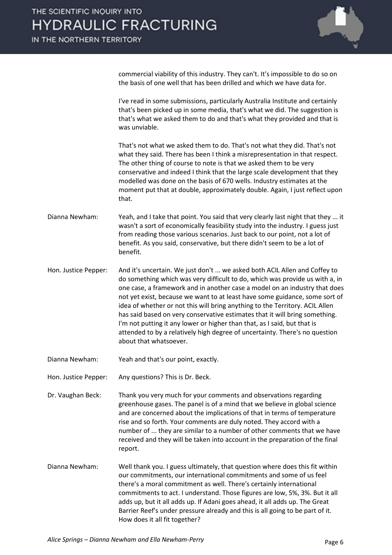

commercial viability of this industry. They can't. It's impossible to do so on the basis of one well that has been drilled and which we have data for.

I've read in some submissions, particularly Australia Institute and certainly that's been picked up in some media, that's what we did. The suggestion is that's what we asked them to do and that's what they provided and that is was unviable.

That's not what we asked them to do. That's not what they did. That's not what they said. There has been I think a misrepresentation in that respect. The other thing of course to note is that we asked them to be very conservative and indeed I think that the large scale development that they modelled was done on the basis of 670 wells. Industry estimates at the moment put that at double, approximately double. Again, I just reflect upon that.

- Dianna Newham: Yeah, and I take that point. You said that very clearly last night that they ... it wasn't a sort of economically feasibility study into the industry. I guess just from reading those various scenarios. Just back to our point, not a lot of benefit. As you said, conservative, but there didn't seem to be a lot of benefit.
- Hon. Justice Pepper: And it's uncertain. We just don't ... we asked both ACIL Allen and Coffey to do something which was very difficult to do, which was provide us with a, in one case, a framework and in another case a model on an industry that does not yet exist, because we want to at least have some guidance, some sort of idea of whether or not this will bring anything to the Territory. ACIL Allen has said based on very conservative estimates that it will bring something. I'm not putting it any lower or higher than that, as I said, but that is attended to by a relatively high degree of uncertainty. There's no question about that whatsoever.
- Dianna Newham: Yeah and that's our point, exactly.
- Hon. Justice Pepper: Any questions? This is Dr. Beck.
- Dr. Vaughan Beck: Thank you very much for your comments and observations regarding greenhouse gases. The panel is of a mind that we believe in global science and are concerned about the implications of that in terms of temperature rise and so forth. Your comments are duly noted. They accord with a number of ... they are similar to a number of other comments that we have received and they will be taken into account in the preparation of the final report.
- Dianna Newham: Well thank you. I guess ultimately, that question where does this fit within our commitments, our international commitments and some of us feel there's a moral commitment as well. There's certainly international commitments to act. I understand. Those figures are low, 5%, 3%. But it all adds up, but it all adds up. If Adani goes ahead, it all adds up. The Great Barrier Reef's under pressure already and this is all going to be part of it. How does it all fit together?